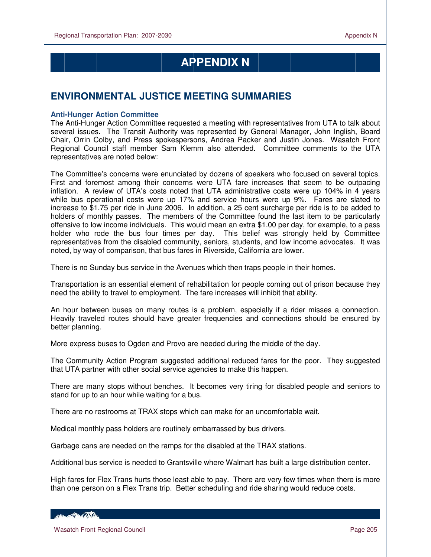# **APPENDIX N**

# **ENVIRONMENTAL JUSTICE MEETING SUMMARIES**

### **Anti-Hunger Action Committee**

The Anti-Hunger Action Committee requested a meeting with representatives from UTA to talk about several issues. The Transit Authority was represented by General Manager, John Inglish, Board Chair, Orrin Colby, and Press spokespersons, Andrea Packer and Justin Jones. Wasatch Front Regional Council staff member Sam Klemm also attended. Committee comments to the UTA representatives are noted below:

The Committee's concerns were enunciated by dozens of speakers who focused on several topics. First and foremost among their concerns were UTA fare increases that seem to be outpacing inflation. A review of UTA's costs noted that UTA administrative costs were up 104% in 4 years while bus operational costs were up 17% and service hours were up 9%. Fares are slated to increase to \$1.75 per ride in June 2006. In addition, a 25 cent surcharge per ride is to be added to holders of monthly passes. The members of the Committee found the last item to be particularly offensive to low income individuals. This would mean an extra \$1.00 per day, for example, to a pass holder who rode the bus four times per day. This belief was strongly held by Committee representatives from the disabled community, seniors, students, and low income advocates. It was noted, by way of comparison, that bus fares in Riverside, California are lower.

There is no Sunday bus service in the Avenues which then traps people in their homes.

Transportation is an essential element of rehabilitation for people coming out of prison because they need the ability to travel to employment. The fare increases will inhibit that ability.

An hour between buses on many routes is a problem, especially if a rider misses a connection. Heavily traveled routes should have greater frequencies and connections should be ensured by better planning.

More express buses to Ogden and Provo are needed during the middle of the day.

The Community Action Program suggested additional reduced fares for the poor. They suggested that UTA partner with other social service agencies to make this happen.

There are many stops without benches. It becomes very tiring for disabled people and seniors to stand for up to an hour while waiting for a bus.

There are no restrooms at TRAX stops which can make for an uncomfortable wait.

Medical monthly pass holders are routinely embarrassed by bus drivers.

Garbage cans are needed on the ramps for the disabled at the TRAX stations.

Additional bus service is needed to Grantsville where Walmart has built a large distribution center.

High fares for Flex Trans hurts those least able to pay. There are very few times when there is more than one person on a Flex Trans trip. Better scheduling and ride sharing would reduce costs.

HELL POLITIC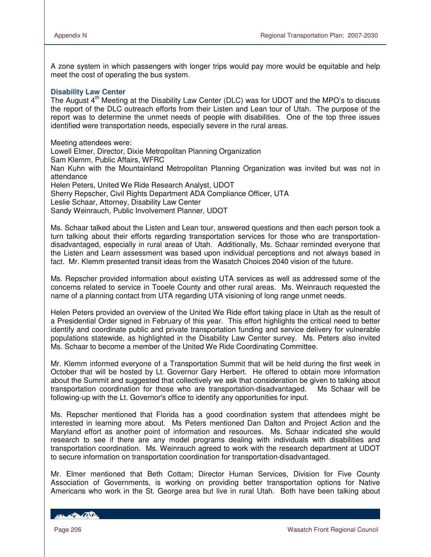A zone system in which passengers with longer trips would pay more would be equitable and help meet the cost of operating the bus system.

#### **Disability Law Center**

The August 4<sup>th</sup> Meeting at the Disability Law Center (DLC) was for UDOT and the MPO's to discuss the report of the DLC outreach efforts from their Listen and Lean tour of Utah. The purpose of the report was to determine the unmet needs of people with disabilities. One of the top three issues identified were transportation needs, especially severe in the rural areas.

Meeting attendees were: Lowell Elmer, Director, Dixie Metropolitan Planning Organization Sam Klemm, Public Affairs, WFRC Nan Kuhn with the Mountainland Metropolitan Planning Organization was invited but was not in attendance Helen Peters, United We Ride Research Analyst, UDOT Sherry Repscher, Civil Rights Department ADA Compliance Officer, UTA Leslie Schaar, Attorney, Disability Law Center Sandy Weinrauch, Public Involvement Planner, UDOT

Ms. Schaar talked about the Listen and Lean tour, answered questions and then each person took a turn talking about their efforts regarding transportation services for those who are transportationdisadvantaged, especially in rural areas of Utah. Additionally, Ms. Schaar reminded everyone that the Listen and Learn assessment was based upon individual perceptions and not always based in fact. Mr. Klemm presented transit ideas from the Wasatch Choices 2040 vision of the future.

Ms. Repscher provided information about existing UTA services as well as addressed some of the concerns related to service in Tooele County and other rural areas. Ms. Weinrauch requested the name of a planning contact from UTA regarding UTA visioning of long range unmet needs.

Helen Peters provided an overview of the United We Ride effort taking place in Utah as the result of a Presidential Order signed in February of this year. This effort highlights the critical need to better identify and coordinate public and private transportation funding and service delivery for vulnerable populations statewide, as highlighted in the Disability Law Center survey. Ms. Peters also invited Ms. Schaar to become a member of the United We Ride Coordinating Committee.

Mr. Klemm informed everyone of a Transportation Summit that will be held during the first week in October that will be hosted by Lt. Governor Gary Herbert. He offered to obtain more information about the Summit and suggested that collectively we ask that consideration be given to talking about transportation coordination for those who are transportation-disadvantaged. Ms Schaar will be following-up with the Lt. Governor's office to identify any opportunities for input.

Ms. Repscher mentioned that Florida has a good coordination system that attendees might be interested in learning more about. Ms Peters mentioned Dan Dalton and Project Action and the Maryland effort as another point of information and resources. Ms. Schaar indicated she would research to see if there are any model programs dealing with individuals with disabilities and transportation coordination. Ms. Weinrauch agreed to work with the research department at UDOT to secure information on transportation coordination for transportation-disadvantaged.

Mr. Elmer mentioned that Beth Cottam; Director Human Services, Division for Five County Association of Governments, is working on providing better transportation options for Native Americans who work in the St. George area but live in rural Utah. Both have been talking about

HELLED COST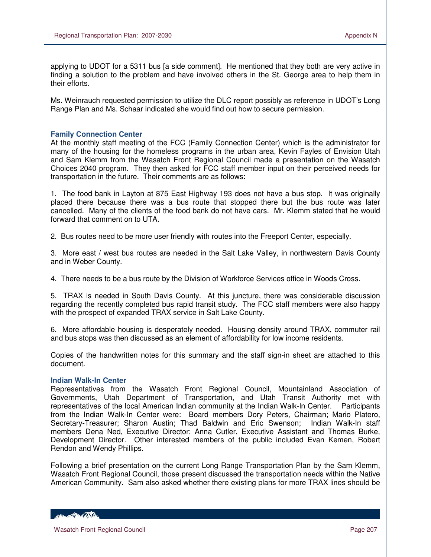applying to UDOT for a 5311 bus [a side comment]. He mentioned that they both are very active in finding a solution to the problem and have involved others in the St. George area to help them in their efforts.

Ms. Weinrauch requested permission to utilize the DLC report possibly as reference in UDOT's Long Range Plan and Ms. Schaar indicated she would find out how to secure permission.

#### **Family Connection Center**

At the monthly staff meeting of the FCC (Family Connection Center) which is the administrator for many of the housing for the homeless programs in the urban area, Kevin Fayles of Envision Utah and Sam Klemm from the Wasatch Front Regional Council made a presentation on the Wasatch Choices 2040 program. They then asked for FCC staff member input on their perceived needs for transportation in the future. Their comments are as follows:

1. The food bank in Layton at 875 East Highway 193 does not have a bus stop. It was originally placed there because there was a bus route that stopped there but the bus route was later cancelled. Many of the clients of the food bank do not have cars. Mr. Klemm stated that he would forward that comment on to UTA.

2. Bus routes need to be more user friendly with routes into the Freeport Center, especially.

3. More east / west bus routes are needed in the Salt Lake Valley, in northwestern Davis County and in Weber County.

4. There needs to be a bus route by the Division of Workforce Services office in Woods Cross.

5. TRAX is needed in South Davis County. At this juncture, there was considerable discussion regarding the recently completed bus rapid transit study. The FCC staff members were also happy with the prospect of expanded TRAX service in Salt Lake County.

6. More affordable housing is desperately needed. Housing density around TRAX, commuter rail and bus stops was then discussed as an element of affordability for low income residents.

Copies of the handwritten notes for this summary and the staff sign-in sheet are attached to this document.

#### **Indian Walk-In Center**

Representatives from the Wasatch Front Regional Council, Mountainland Association of Governments, Utah Department of Transportation, and Utah Transit Authority met with representatives of the local American Indian community at the Indian Walk-In Center. Participants from the Indian Walk-In Center were: Board members Dory Peters, Chairman; Mario Platero, Secretary-Treasurer; Sharon Austin; Thad Baldwin and Eric Swenson; Indian Walk-In staff members Dena Ned, Executive Director; Anna Cutler, Executive Assistant and Thomas Burke, Development Director. Other interested members of the public included Evan Kemen, Robert Rendon and Wendy Phillips.

Following a brief presentation on the current Long Range Transportation Plan by the Sam Klemm, Wasatch Front Regional Council, those present discussed the transportation needs within the Native American Community. Sam also asked whether there existing plans for more TRAX lines should be

HELL POLITIC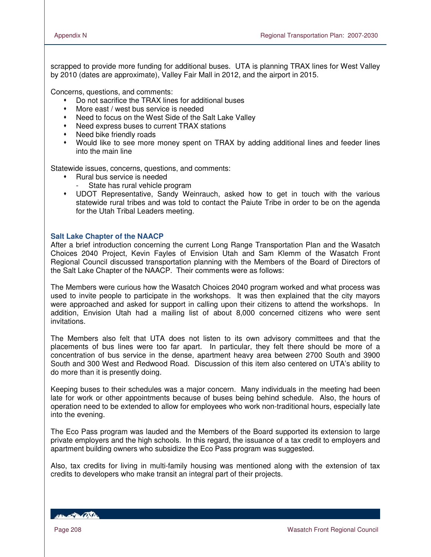scrapped to provide more funding for additional buses. UTA is planning TRAX lines for West Valley by 2010 (dates are approximate), Valley Fair Mall in 2012, and the airport in 2015.

Concerns, questions, and comments:

- Do not sacrifice the TRAX lines for additional buses
- More east / west bus service is needed
- Need to focus on the West Side of the Salt Lake Valley
- Need express buses to current TRAX stations
- Need bike friendly roads
- Would like to see more money spent on TRAX by adding additional lines and feeder lines into the main line

Statewide issues, concerns, questions, and comments:

- Rural bus service is needed
	- State has rural vehicle program
- UDOT Representative, Sandy Weinrauch, asked how to get in touch with the various statewide rural tribes and was told to contact the Paiute Tribe in order to be on the agenda for the Utah Tribal Leaders meeting.

#### **Salt Lake Chapter of the NAACP**

After a brief introduction concerning the current Long Range Transportation Plan and the Wasatch Choices 2040 Project, Kevin Fayles of Envision Utah and Sam Klemm of the Wasatch Front Regional Council discussed transportation planning with the Members of the Board of Directors of the Salt Lake Chapter of the NAACP. Their comments were as follows:

The Members were curious how the Wasatch Choices 2040 program worked and what process was used to invite people to participate in the workshops. It was then explained that the city mayors were approached and asked for support in calling upon their citizens to attend the workshops. In addition, Envision Utah had a mailing list of about 8,000 concerned citizens who were sent invitations.

The Members also felt that UTA does not listen to its own advisory committees and that the placements of bus lines were too far apart. In particular, they felt there should be more of a concentration of bus service in the dense, apartment heavy area between 2700 South and 3900 South and 300 West and Redwood Road. Discussion of this item also centered on UTA's ability to do more than it is presently doing.

Keeping buses to their schedules was a major concern. Many individuals in the meeting had been late for work or other appointments because of buses being behind schedule. Also, the hours of operation need to be extended to allow for employees who work non-traditional hours, especially late into the evening.

The Eco Pass program was lauded and the Members of the Board supported its extension to large private employers and the high schools. In this regard, the issuance of a tax credit to employers and apartment building owners who subsidize the Eco Pass program was suggested.

Also, tax credits for living in multi-family housing was mentioned along with the extension of tax credits to developers who make transit an integral part of their projects.

**RECORD CONTRACTOR**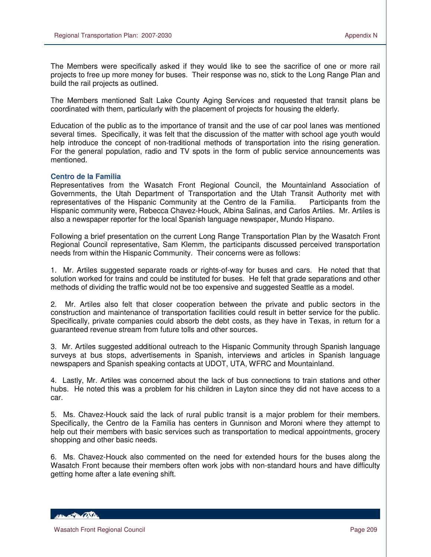The Members were specifically asked if they would like to see the sacrifice of one or more rail projects to free up more money for buses. Their response was no, stick to the Long Range Plan and build the rail projects as outlined.

The Members mentioned Salt Lake County Aging Services and requested that transit plans be coordinated with them, particularly with the placement of projects for housing the elderly.

Education of the public as to the importance of transit and the use of car pool lanes was mentioned several times. Specifically, it was felt that the discussion of the matter with school age youth would help introduce the concept of non-traditional methods of transportation into the rising generation. For the general population, radio and TV spots in the form of public service announcements was mentioned.

#### **Centro de la Familia**

 $\overline{a}$ 

Representatives from the Wasatch Front Regional Council, the Mountainland Association of Governments, the Utah Department of Transportation and the Utah Transit Authority met with representatives of the Hispanic Community at the Centro de la Familia. Participants from the Hispanic community were, Rebecca Chavez-Houck, Albina Salinas, and Carlos Artiles. Mr. Artiles is also a newspaper reporter for the local Spanish language newspaper, Mundo Hispano.

Following a brief presentation on the current Long Range Transportation Plan by the Wasatch Front Regional Council representative, Sam Klemm, the participants discussed perceived transportation needs from within the Hispanic Community. Their concerns were as follows:

1. Mr. Artiles suggested separate roads or rights-of-way for buses and cars. He noted that that solution worked for trains and could be instituted for buses. He felt that grade separations and other methods of dividing the traffic would not be too expensive and suggested Seattle as a model.

2. Mr. Artiles also felt that closer cooperation between the private and public sectors in the construction and maintenance of transportation facilities could result in better service for the public. Specifically, private companies could absorb the debt costs, as they have in Texas, in return for a guaranteed revenue stream from future tolls and other sources.

3. Mr. Artiles suggested additional outreach to the Hispanic Community through Spanish language surveys at bus stops, advertisements in Spanish, interviews and articles in Spanish language newspapers and Spanish speaking contacts at UDOT, UTA, WFRC and Mountainland.

4. Lastly, Mr. Artiles was concerned about the lack of bus connections to train stations and other hubs. He noted this was a problem for his children in Layton since they did not have access to a car.

5. Ms. Chavez-Houck said the lack of rural public transit is a major problem for their members. Specifically, the Centro de la Familia has centers in Gunnison and Moroni where they attempt to help out their members with basic services such as transportation to medical appointments, grocery shopping and other basic needs.

6. Ms. Chavez-Houck also commented on the need for extended hours for the buses along the Wasatch Front because their members often work jobs with non-standard hours and have difficulty getting home after a late evening shift.

HELL OF BACKER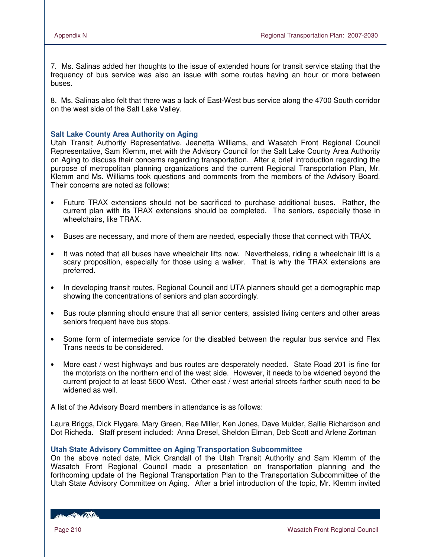7. Ms. Salinas added her thoughts to the issue of extended hours for transit service stating that the frequency of bus service was also an issue with some routes having an hour or more between buses.

8. Ms. Salinas also felt that there was a lack of East-West bus service along the 4700 South corridor on the west side of the Salt Lake Valley.

## **Salt Lake County Area Authority on Aging**

Utah Transit Authority Representative, Jeanetta Williams, and Wasatch Front Regional Council Representative, Sam Klemm, met with the Advisory Council for the Salt Lake County Area Authority on Aging to discuss their concerns regarding transportation. After a brief introduction regarding the purpose of metropolitan planning organizations and the current Regional Transportation Plan, Mr. Klemm and Ms. Williams took questions and comments from the members of the Advisory Board. Their concerns are noted as follows:

- Future TRAX extensions should not be sacrificed to purchase additional buses. Rather, the current plan with its TRAX extensions should be completed. The seniors, especially those in wheelchairs, like TRAX.
- Buses are necessary, and more of them are needed, especially those that connect with TRAX.
- It was noted that all buses have wheelchair lifts now. Nevertheless, riding a wheelchair lift is a scary proposition, especially for those using a walker. That is why the TRAX extensions are preferred.
- In developing transit routes, Regional Council and UTA planners should get a demographic map showing the concentrations of seniors and plan accordingly.
- Bus route planning should ensure that all senior centers, assisted living centers and other areas seniors frequent have bus stops.
- Some form of intermediate service for the disabled between the regular bus service and Flex Trans needs to be considered.
- More east / west highways and bus routes are desperately needed. State Road 201 is fine for the motorists on the northern end of the west side. However, it needs to be widened beyond the current project to at least 5600 West. Other east / west arterial streets farther south need to be widened as well.

A list of the Advisory Board members in attendance is as follows:

Laura Briggs, Dick Flygare, Mary Green, Rae Miller, Ken Jones, Dave Mulder, Sallie Richardson and Dot Richeda. Staff present included: Anna Dresel, Sheldon Elman, Deb Scott and Arlene Zortman

#### **Utah State Advisory Committee on Aging Transportation Subcommittee**

On the above noted date, Mick Crandall of the Utah Transit Authority and Sam Klemm of the Wasatch Front Regional Council made a presentation on transportation planning and the forthcoming update of the Regional Transportation Plan to the Transportation Subcommittee of the Utah State Advisory Committee on Aging. After a brief introduction of the topic, Mr. Klemm invited

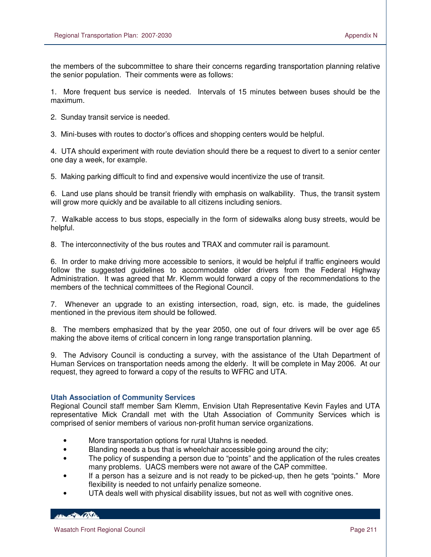the members of the subcommittee to share their concerns regarding transportation planning relative the senior population. Their comments were as follows:

1. More frequent bus service is needed. Intervals of 15 minutes between buses should be the maximum.

2. Sunday transit service is needed.

3. Mini-buses with routes to doctor's offices and shopping centers would be helpful.

4. UTA should experiment with route deviation should there be a request to divert to a senior center one day a week, for example.

5. Making parking difficult to find and expensive would incentivize the use of transit.

6. Land use plans should be transit friendly with emphasis on walkability. Thus, the transit system will grow more quickly and be available to all citizens including seniors.

7. Walkable access to bus stops, especially in the form of sidewalks along busy streets, would be helpful.

8. The interconnectivity of the bus routes and TRAX and commuter rail is paramount.

6. In order to make driving more accessible to seniors, it would be helpful if traffic engineers would follow the suggested guidelines to accommodate older drivers from the Federal Highway Administration. It was agreed that Mr. Klemm would forward a copy of the recommendations to the members of the technical committees of the Regional Council.

7. Whenever an upgrade to an existing intersection, road, sign, etc. is made, the guidelines mentioned in the previous item should be followed.

8. The members emphasized that by the year 2050, one out of four drivers will be over age 65 making the above items of critical concern in long range transportation planning.

9. The Advisory Council is conducting a survey, with the assistance of the Utah Department of Human Services on transportation needs among the elderly. It will be complete in May 2006. At our request, they agreed to forward a copy of the results to WFRC and UTA.

#### **Utah Association of Community Services**

Regional Council staff member Sam Klemm, Envision Utah Representative Kevin Fayles and UTA representative Mick Crandall met with the Utah Association of Community Services which is comprised of senior members of various non-profit human service organizations.

- More transportation options for rural Utahns is needed.
- Blanding needs a bus that is wheelchair accessible going around the city;
- The policy of suspending a person due to "points" and the application of the rules creates many problems. UACS members were not aware of the CAP committee.
- If a person has a seizure and is not ready to be picked-up, then he gets "points." More flexibility is needed to not unfairly penalize someone.
- UTA deals well with physical disability issues, but not as well with cognitive ones.

**ABON AND BOOKS DE**